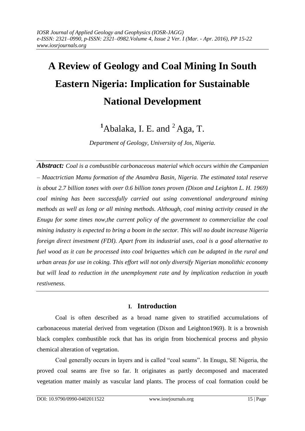# **A Review of Geology and Coal Mining In South Eastern Nigeria: Implication for Sustainable National Development**

# <sup>1</sup>Abalaka, I. E. and <sup>2</sup> Aga, T.

*Department of Geology, University of Jos, Nigeria.*

*Abstract: Coal is a combustible carbonaceous material which occurs within the Campanian – Maactrictian Mamu formation of the Anambra Basin, Nigeria. The estimated total reserve is about 2.7 billion tones with over 0.6 billion tones proven (Dixon and Leighton L. H. 1969) coal mining has been successfully carried out using conventional underground mining methods as well as long or all mining methods. Although, coal mining activity ceased in the Enugu for some times now,the current policy of the government to commercialize the coal mining industry is expected to bring a boom in the sector. This will no doubt increase Nigeria foreign direct investment (FDI). Apart from its industrial uses, coal is a good alternative to fuel wood as it can be processed into coal briquettes which can be adapted in the rural and urban areas for use in coking. This effort will not only diversify Nigerian monolithic economy but will lead to reduction in the unemployment rate and by implication reduction in youth restiveness.* 

# **I. Introduction**

Coal is often described as a broad name given to stratified accumulations of carbonaceous material derived from vegetation (Dixon and Leighton1969). It is a brownish black complex combustible rock that has its origin from biochemical process and physio chemical alteration of vegetation.

Coal generally occurs in layers and is called "coal seams". In Enugu, SE Nigeria, the proved coal seams are five so far. It originates as partly decomposed and macerated vegetation matter mainly as vascular land plants. The process of coal formation could be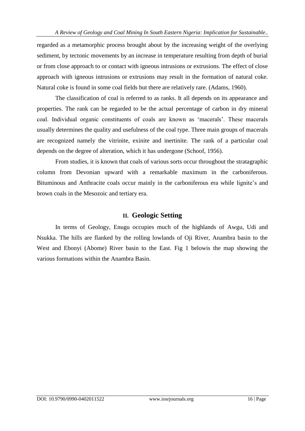regarded as a metamorphic process brought about by the increasing weight of the overlying sediment, by tectonic movements by an increase in temperature resulting from depth of burial or from close approach to or contact with igneous intrusions or extrusions. The effect of close approach with igneous intrusions or extrusions may result in the formation of natural coke. Natural coke is found in some coal fields but there are relatively rare. (Adams, 1960).

The classification of coal is referred to as ranks. It all depends on its appearance and properties. The rank can be regarded to be the actual percentage of carbon in dry mineral coal. Individual organic constituents of coals are known as 'macerals'. These macerals usually determines the quality and usefulness of the coal type. Three main groups of macerals are recognized namely the vitrinite, exinite and inertinite. The rank of a particular coal depends on the degree of alteration, which it has undergone (Schoof, 1956).

From studies, it is known that coals of various sorts occur throughout the stratagraphic column from Devonian upward with a remarkable maximum in the carboniferous. Bituminous and Anthracite coals occur mainly in the carboniferous era while lignite's and brown coals in the Mesozoic and tertiary era.

#### **II. Geologic Setting**

In terms of Geology, Enugu occupies much of the highlands of Awgu, Udi and Nsukka. The hills are flanked by the rolling lowlands of Oji River, Anambra basin to the West and Ebonyi (Abome) River basin to the East. Fig 1 belowis the map showing the various formations within the Anambra Basin.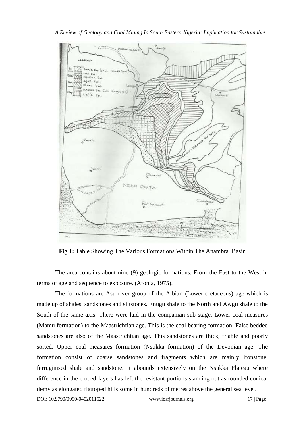

**Fig 1:** Table Showing The Various Formations Within The Anambra Basin

The area contains about nine (9) geologic formations. From the East to the West in terms of age and sequence to exposure. (Afonja, 1975).

The formations are Asu river group of the Albian (Lower cretaceous) age which is made up of shales, sandstones and siltstones. Enugu shale to the North and Awgu shale to the South of the same axis. There were laid in the companian sub stage. Lower coal measures (Mamu formation) to the Maastrichtian age. This is the coal bearing formation. False bedded sandstones are also of the Maastrichtian age. This sandstones are thick, friable and poorly sorted. Upper coal measures formation (Nsukka formation) of the Devonian age. The formation consist of coarse sandstones and fragments which are mainly ironstone, ferruginised shale and sandstone. It abounds extensively on the Nsukka Plateau where difference in the eroded layers has left the resistant portions standing out as rounded conical demy as elongated flattoped hills some in hundreds of metres above the general sea level.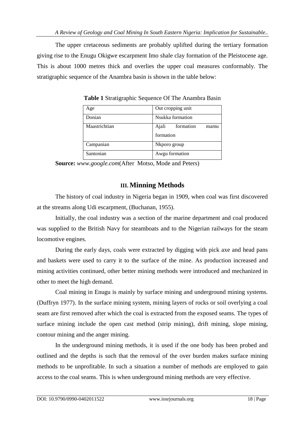The upper cretaceous sediments are probably uplifted during the tertiary formation giving rise to the Enugu Okigwe escarpment Imo shale clay formation of the Pleistocene age. This is about 1000 metres thick and overlies the upper coal measures conformably. The stratigraphic sequence of the Anambra basin is shown in the table below:

| Age           | Out cropping unit          |  |  |
|---------------|----------------------------|--|--|
| Donian        | Nsukka formation           |  |  |
| Maastrichtian | Ajali<br>formation<br>mamu |  |  |
|               | formation                  |  |  |
| Campanian     | Nkporo group               |  |  |
| Santonian     | Awgu formation             |  |  |

**Table 1** Stratigraphic Sequence Of The Anambra Basin

**Source:** *[www.google.com](http://www.google.com/)*(After Motso, Mode and Peters)

# **III. Minning Methods**

The history of coal industry in Nigeria began in 1909, when coal was first discovered at the streams along Udi escarpment, (Buchanan, 1955).

Initially, the coal industry was a section of the marine department and coal produced was supplied to the British Navy for steamboats and to the Nigerian railways for the steam locomotive engines.

During the early days, coals were extracted by digging with pick axe and head pans and baskets were used to carry it to the surface of the mine. As production increased and mining activities continued, other better mining methods were introduced and mechanized in other to meet the high demand.

Coal mining in Enugu is mainly by surface mining and underground mining systems. (Duffryn 1977). In the surface mining system, mining layers of rocks or soil overlying a coal seam are first removed after which the coal is extracted from the exposed seams. The types of surface mining include the open cast method (strip mining), drift mining, slope mining, contour mining and the anger mining.

In the underground mining methods, it is used if the one body has been probed and outlined and the depths is such that the removal of the over burden makes surface mining methods to be unprofitable. In such a situation a number of methods are employed to gain access to the coal seams. This is when underground mining methods are very effective.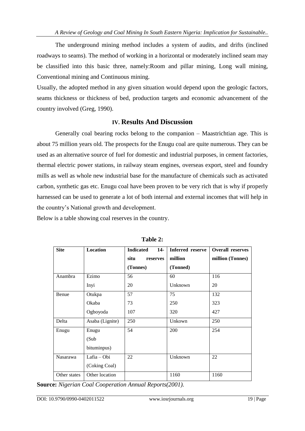The underground mining method includes a system of audits, and drifts (inclined roadways to seams). The method of working in a horizontal or moderately inclined seam may be classified into this basic three, namely:Room and pillar mining, Long wall mining, Conventional mining and Continuous mining.

Usually, the adopted method in any given situation would depend upon the geologic factors, seams thickness or thickness of bed, production targets and economic advancement of the country involved (Greg, 1990).

# **IV. Results And Discussion**

Generally coal bearing rocks belong to the companion – Maastrichtian age. This is about 75 million years old. The prospects for the Enugu coal are quite numerous. They can be used as an alternative source of fuel for domestic and industrial purposes, in cement factories, thermal electric power stations, in railway steam engines, overseas export, steel and foundry mills as well as whole new industrial base for the manufacture of chemicals such as activated carbon, synthetic gas etc. Enugu coal have been proven to be very rich that is why if properly harnessed can be used to generate a lot of both internal and external incomes that will help in the country"s National growth and development.

Below is a table showing coal reserves in the country.

| <b>Site</b>  | Location        | <b>Indicated</b><br>$14-$ | <b>Inferred</b> reserve | <b>Overall reserves</b> |
|--------------|-----------------|---------------------------|-------------------------|-------------------------|
|              |                 | situ<br>reserves          | million                 | million (Tonnes)        |
|              |                 | (Tonnes)                  | (Tonned)                |                         |
| Anambra      | Ezimo           | 56                        | 60                      | 116                     |
|              | Inyi            | 20                        | Unknown                 | 20                      |
| Benue        | Otukpa          | 57                        | 75                      | 132                     |
|              | Okaba           | 73                        | 250                     | 323                     |
|              | Ogboyoda        | 107                       | 320                     | 427                     |
| Delta        | Asaba (Lignite) | 250                       | Unkown                  | 250                     |
| Enugu        | Enugu           | 54                        | 200                     | 254                     |
|              | (Sub            |                           |                         |                         |
|              | bituminpus)     |                           |                         |                         |
| Nasarawa     | Lafia - Obi     | 22                        | Unknown                 | 22                      |
|              | (Coking Coal)   |                           |                         |                         |
| Other states | Other location  |                           | 1160                    | 1160                    |

**Table 2:**

**Source:** *Nigerian Coal Cooperation Annual Reports(2001).*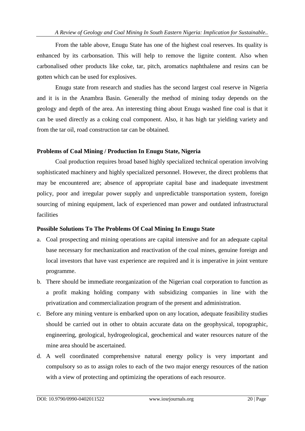From the table above, Enugu State has one of the highest coal reserves. Its quality is enhanced by its carbonsation. This will help to remove the lignite content. Also when carbonalised other products like coke, tar, pitch, aromatics naphthalene and resins can be gotten which can be used for explosives.

Enugu state from research and studies has the second largest coal reserve in Nigeria and it is in the Anambra Basin. Generally the method of mining today depends on the geology and depth of the area. An interesting thing about Enugu washed fine coal is that it can be used directly as a coking coal component. Also, it has high tar yielding variety and from the tar oil, road construction tar can be obtained.

#### **Problems of Coal Mining / Production In Enugu State, Nigeria**

Coal production requires broad based highly specialized technical operation involving sophisticated machinery and highly specialized personnel. However, the direct problems that may be encountered are; absence of appropriate capital base and inadequate investment policy, poor and irregular power supply and unpredictable transportation system, foreign sourcing of mining equipment, lack of experienced man power and outdated infrastructural facilities

# **Possible Solutions To The Problems Of Coal Mining In Enugu State**

- a. Coal prospecting and mining operations are capital intensive and for an adequate capital base necessary for mechanization and reactivation of the coal mines, genuine foreign and local investors that have vast experience are required and it is imperative in joint venture programme.
- b. There should be immediate reorganization of the Nigerian coal corporation to function as a profit making holding company with subsidizing companies in line with the privatization and commercialization program of the present and administration.
- c. Before any mining venture is embarked upon on any location, adequate feasibility studies should be carried out in other to obtain accurate data on the geophysical, topographic, engineering, geological, hydrogeological, geochemical and water resources nature of the mine area should be ascertained.
- d. A well coordinated comprehensive natural energy policy is very important and compulsory so as to assign roles to each of the two major energy resources of the nation with a view of protecting and optimizing the operations of each resource.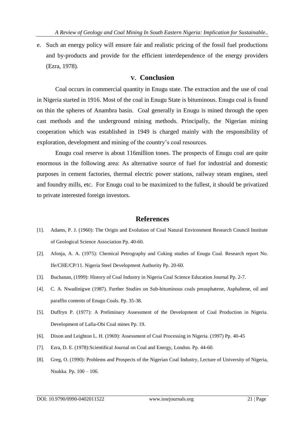e. Such an energy policy will ensure fair and realistic pricing of the fossil fuel productions and by-products and provide for the efficient interdependence of the energy providers (Ezra, 1978).

#### **V. Conclusion**

Coal occurs in commercial quantity in Enugu state. The extraction and the use of coal in Nigeria started in 1916. Most of the coal in Enugu State is bituminous. Enugu coal is found on thin the spheres of Anambra basin. Coal generally in Enugu is mined through the open cast methods and the underground mining methods. Principally, the Nigerian mining cooperation which was established in 1949 is charged mainly with the responsibility of exploration, development and mining of the country's coal resources.

Enugu coal reserve is about 116million tones. The prospects of Enugu coal are quite enormous in the following area: As alternative source of fuel for industrial and domestic purposes in cement factories, thermal electric power stations, railway steam engines, steel and foundry mills, etc. For Enugu coal to be maximized to the fullest, it should be privatized to private interested foreign investors.

#### **References**

- [1]. Adams, P. J. (1960): The Origin and Evolution of Coal Natural Environment Research Council Institute of Geological Science Association Pp. 40-60.
- [2]. Afonja, A. A. (1975): Chemical Petrography and Coking studies of Enugu Coal. Research report No. Ife/CHE/CP/11. Nigeria Steel Development Authority Pp. 20-60.
- [3]. Buchanan, (1999): History of Coal Industry in Nigeria Coal Science Education Journal Pp. 2-7.
- [4]. C. A. Nwadinigwe (1987). Further Studies on Sub-bituminous coals preasphatene, Asphaltene, oil and paraffin contents of Enugu Coals. Pp. 35-38.
- [5]. Duffryn P. (1977): A Preliminary Assessment of the Development of Coal Production in Nigeria. Development of Lafia-Obi Coal mines Pp. 19.
- [6]. Dixon and Leighton L. H. (1969): Assessment of Coal Processing in Nigeria. (1997) Pp. 40-45
- [7]. Ezra, D. E. (1978):Scientifical Journal on Coal and Energy, London. Pp. 44-60.
- [8]. Greg, O. (1990): Problems and Prospects of the Nigerian Coal Industry, Lecture of University of Nigeria, Nsukka. Pp. 100 – 106.